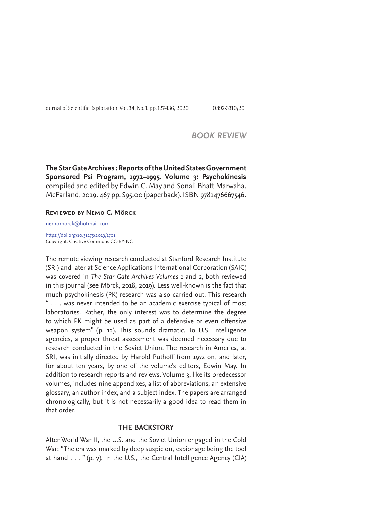Journal of Scientific Exploration, Vol. 34, No. 1, pp. 127-136, 2020 0892-3310/20

# *BOOK REVIEW*

**The Star Gate Archives : Reports of the United States Government Sponsored Psi Program, 1972–1995. Volume 3: Psychokinesis** compiled and edited by Edwin C. May and Sonali Bhatt Marwaha. McFarland, 2019. 467 pp. \$95.00 (paperback). ISBN 9781476667546.

## **Reviewed by Nemo C. Mörck**

nemomorck@hotmail.com

https://doi.org/10.31275/2019/1701 Copyright: Creative Commons CC-BY-NC

The remote viewing research conducted at Stanford Research Institute (SRI) and later at Science Applications International Corporation (SAIC) was covered in *The Star Gate Archives Volumes 1* and *2*, both reviewed in this journal (see Mörck, 2018, 2019). Less well-known is the fact that much psychokinesis (PK) research was also carried out. This research " . . . was never intended to be an academic exercise typical of most laboratories. Rather, the only interest was to determine the degree to which PK might be used as part of a defensive or even offensive weapon system" (p. 12). This sounds dramatic. To U.S. intelligence agencies, a proper threat assessment was deemed necessary due to research conducted in the Soviet Union. The research in America, at SRI, was initially directed by Harold Puthoff from 1972 on, and later, for about ten years, by one of the volume's editors, Edwin May. In addition to research reports and reviews, Volume 3, like its predecessor volumes, includes nine appendixes, a list of abbreviations, an extensive glossary, an author index, and a subject index. The papers are arranged chronologically, but it is not necessarily a good idea to read them in that order.

## **THE BACKSTORY**

After World War II, the U.S. and the Soviet Union engaged in the Cold War: "The era was marked by deep suspicion, espionage being the tool at hand  $\ldots$  " (p. 7). In the U.S., the Central Intelligence Agency (CIA)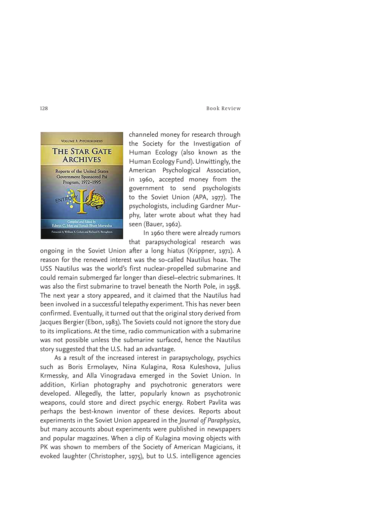

channeled money for research through the Society for the Investigation of Human Ecology (also known as the Human Ecology Fund). Unwittingly, the American Psychological Association, in 1960, accepted money from the government to send psychologists to the Soviet Union (APA, 1977). The psychologists, including Gardner Murphy, later wrote about what they had seen (Bauer, 1962).

In 1960 there were already rumors that parapsychological research was

ongoing in the Soviet Union after a long hiatus (Krippner, 1971). A reason for the renewed interest was the so-called Nautilus hoax. The USS Nautilus was the world's first nuclear-propelled submarine and could remain submerged far longer than diesel–electric submarines. It was also the first submarine to travel beneath the North Pole, in 1958. The next year a story appeared, and it claimed that the Nautilus had been involved in a successful telepathy experiment. This has never been confirmed. Eventually, it turned out that the original story derived from Jacques Bergier (Ebon, 1983). The Soviets could not ignore the story due to its implications. At the time, radio communication with a submarine was not possible unless the submarine surfaced, hence the Nautilus story suggested that the U.S. had an advantage.

As a result of the increased interest in parapsychology, psychics such as Boris Ermolayev, Nina Kulagina, Rosa Kuleshova, Julius Krmessky, and Alla Vinogradava emerged in the Soviet Union. In addition, Kirlian photography and psychotronic generators were developed. Allegedly, the latter, popularly known as psychotronic weapons, could store and direct psychic energy. Robert Pavlita was perhaps the best-known inventor of these devices. Reports about experiments in the Soviet Union appeared in the *Journal of Paraphysics*, but many accounts about experiments were published in newspapers and popular magazines. When a clip of Kulagina moving objects with PK was shown to members of the Society of American Magicians, it evoked laughter (Christopher, 1975), but to U.S. intelligence agencies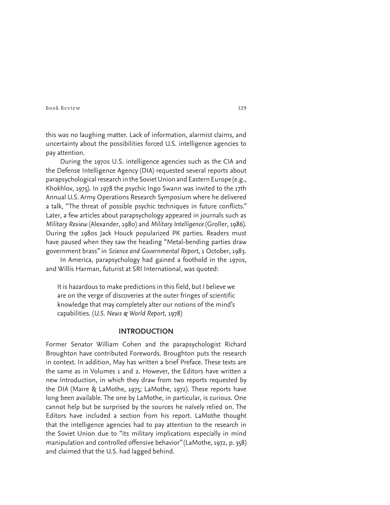this was no laughing matter. Lack of information, alarmist claims, and uncertainty about the possibilities forced U.S. intelligence agencies to pay attention.

During the 1970s U.S. intelligence agencies such as the CIA and the Defense Intelligence Agency (DIA) requested several reports about parapsychological research in the Soviet Union and Eastern Europe (e.g., Khokhlov, 1975). In 1978 the psychic Ingo Swann was invited to the 17th Annual U.S. Army Operations Research Symposium where he delivered a talk, "The threat of possible psychic techniques in future conflicts." Later, a few articles about parapsychology appeared in journals such as *Military Review* (Alexander, 1980) and *Military Intelligence* (Groller, 1986). During the 1980s Jack Houck popularized PK parties. Readers must have paused when they saw the heading "Metal-bending parties draw government brass" in *Science and Governmental Report,* 1 October, 1983.

In America, parapsychology had gained a foothold in the 1970s, and Willis Harman, futurist at SRI International, was quoted:

It is hazardous to make predictions in this field, but I believe we are on the verge of discoveries at the outer fringes of scientific knowledge that may completely alter our notions of the mind's capabilities. (*U.S. News & World Report*, 1978)

## **INTRODUCTION**

Former Senator William Cohen and the parapsychologist Richard Broughton have contributed Forewords. Broughton puts the research in context. In addition, May has written a brief Preface. These texts are the same as in Volumes 1 and 2. However, the Editors have written a new Introduction, in which they draw from two reports requested by the DIA (Maire & LaMothe, 1975; LaMothe, 1972). These reports have long been available. The one by LaMothe, in particular, is curious. One cannot help but be surprised by the sources he naïvely relied on. The Editors have included a section from his report. LaMothe thought that the intelligence agencies had to pay attention to the research in the Soviet Union due to "its military implications especially in mind manipulation and controlled offensive behavior" (LaMothe, 1972, p. 358) and claimed that the U.S. had lagged behind.

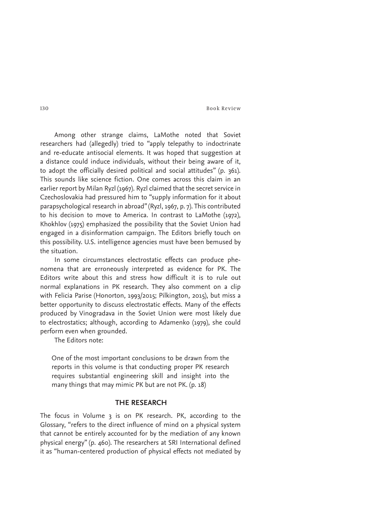Among other strange claims, LaMothe noted that Soviet researchers had (allegedly) tried to "apply telepathy to indoctrinate and re-educate antisocial elements. It was hoped that suggestion at a distance could induce individuals, without their being aware of it, to adopt the officially desired political and social attitudes" (p. 361). This sounds like science fiction. One comes across this claim in an earlier report by Milan Ryzl (1967). Ryzl claimed that the secret service in Czechoslovakia had pressured him to "supply information for it about parapsychological research in abroad" (Ryzl, 1967, p. 7). This contributed to his decision to move to America. In contrast to LaMothe (1972), Khokhlov (1975) emphasized the possibility that the Soviet Union had engaged in a disinformation campaign. The Editors briefly touch on this possibility. U.S. intelligence agencies must have been bemused by the situation.

In some circumstances electrostatic effects can produce phenomena that are erroneously interpreted as evidence for PK. The Editors write about this and stress how difficult it is to rule out normal explanations in PK research. They also comment on a clip with Felicia Parise (Honorton, 1993/2015; Pilkington, 2015), but miss a better opportunity to discuss electrostatic effects. Many of the effects produced by Vinogradava in the Soviet Union were most likely due to electrostatics; although, according to Adamenko (1979), she could perform even when grounded.

The Editors note:

One of the most important conclusions to be drawn from the reports in this volume is that conducting proper PK research requires substantial engineering skill and insight into the many things that may mimic PK but are not PK. (p. 18)

### **THE RESEARCH**

The focus in Volume 3 is on PK research. PK, according to the Glossary, "refers to the direct influence of mind on a physical system that cannot be entirely accounted for by the mediation of any known physical energy" (p. 460). The researchers at SRI International defined it as "human-centered production of physical effects not mediated by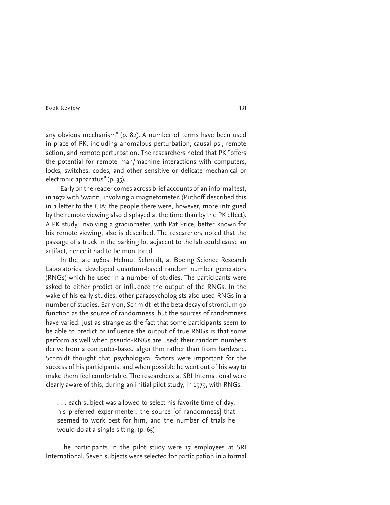any obvious mechanism" (p. 82). A number of terms have been used in place of PK, including anomalous perturbation, causal psi, remote action, and remote perturbation. The researchers noted that PK "offers the potential for remote man/machine interactions with computers, locks, switches, codes, and other sensitive or delicate mechanical or electronic apparatus" (p. 35).

Early on the reader comes across brief accounts of an informal test, in 1972 with Swann, involving a magnetometer. (Puthoff described this in a letter to the CIA; the people there were, however, more intrigued by the remote viewing also displayed at the time than by the PK effect). A PK study, involving a gradiometer, with Pat Price, better known for his remote viewing, also is described. The researchers noted that the passage of a truck in the parking lot adjacent to the lab could cause an artifact, hence it had to be monitored.

In the late 1960s, Helmut Schmidt, at Boeing Science Research Laboratories, developed quantum-based random number generators (RNGs) which he used in a number of studies. The participants were asked to either predict or influence the output of the RNGs. In the wake of his early studies, other parapsychologists also used RNGs in a number of studies. Early on, Schmidt let the beta decay of strontium 90 function as the source of randomness, but the sources of randomness have varied. Just as strange as the fact that some participants seem to be able to predict or influence the output of true RNGs is that some perform as well when pseudo-RNGs are used; their random numbers derive from a computer-based algorithm rather than from hardware. Schmidt thought that psychological factors were important for the success of his participants, and when possible he went out of his way to make them feel comfortable. The researchers at SRI International were clearly aware of this, during an initial pilot study, in 1979, with RNGs:

. . . each subject was allowed to select his favorite time of day, his preferred experimenter, the source [of randomness] that seemed to work best for him, and the number of trials he would do at a single sitting. (p. 65)

The participants in the pilot study were 17 employees at SRI International. Seven subjects were selected for participation in a formal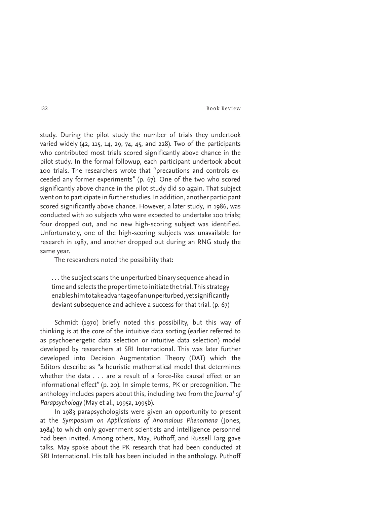study. During the pilot study the number of trials they undertook varied widely (42, 115, 14, 29, 74, 45, and 228). Two of the participants who contributed most trials scored significantly above chance in the pilot study. In the formal followup, each participant undertook about 100 trials. The researchers wrote that "precautions and controls exceeded any former experiments" (p. 67). One of the two who scored significantly above chance in the pilot study did so again. That subject went on to participate in further studies. In addition, another participant scored significantly above chance. However, a later study, in 1986, was conducted with 20 subjects who were expected to undertake 100 trials; four dropped out, and no new high-scoring subject was identified. Unfortunately, one of the high-scoring subjects was unavailable for research in 1987, and another dropped out during an RNG study the same year.

The researchers noted the possibility that:

. . . the subject scans the unperturbed binary sequence ahead in time and selects the proper time to initiate the trial. This strategy enables him to take advantage of an unperturbed, yet significantly deviant subsequence and achieve a success for that trial. (p. 67)

Schmidt (1970) briefly noted this possibility, but this way of thinking is at the core of the intuitive data sorting (earlier referred to as psychoenergetic data selection or intuitive data selection) model developed by researchers at SRI International. This was later further developed into Decision Augmentation Theory (DAT) which the Editors describe as "a heuristic mathematical model that determines whether the data . . . are a result of a force-like causal effect or an informational effect" (p. 20). In simple terms, PK or precognition. The anthology includes papers about this, including two from the *Journal of Parapsychology* (May et al., 1995a, 1995b).

In 1983 parapsychologists were given an opportunity to present at the *Symposium on Applications of Anomalous Phenomena* (Jones, 1984) to which only government scientists and intelligence personnel had been invited. Among others, May, Puthoff, and Russell Targ gave talks. May spoke about the PK research that had been conducted at SRI International. His talk has been included in the anthology. Puthoff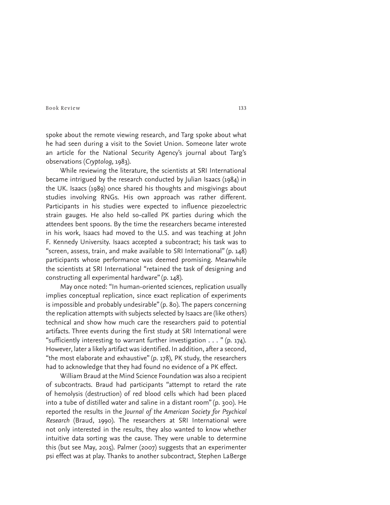spoke about the remote viewing research, and Targ spoke about what he had seen during a visit to the Soviet Union. Someone later wrote an article for the National Security Agency's journal about Targ's observations (*Cryptolog*, 1983).

While reviewing the literature, the scientists at SRI International became intrigued by the research conducted by Julian Isaacs (1984) in the UK. Isaacs (1989) once shared his thoughts and misgivings about studies involving RNGs. His own approach was rather different. Participants in his studies were expected to influence piezoelectric strain gauges. He also held so-called PK parties during which the attendees bent spoons. By the time the researchers became interested in his work, Isaacs had moved to the U.S. and was teaching at John F. Kennedy University. Isaacs accepted a subcontract; his task was to "screen, assess, train, and make available to SRI International" (p. 148) participants whose performance was deemed promising. Meanwhile the scientists at SRI International "retained the task of designing and constructing all experimental hardware" (p. 148).

May once noted: "In human-oriented sciences, replication usually implies conceptual replication, since exact replication of experiments is impossible and probably undesirable" (p. 80). The papers concerning the replication attempts with subjects selected by Isaacs are (like others) technical and show how much care the researchers paid to potential artifacts. Three events during the first study at SRI International were "sufficiently interesting to warrant further investigation  $\dots$  " (p. 174). However, later a likely artifact was identified. In addition, after a second, "the most elaborate and exhaustive" (p. 178), PK study, the researchers had to acknowledge that they had found no evidence of a PK effect.

William Braud at the Mind Science Foundation was also a recipient of subcontracts. Braud had participants "attempt to retard the rate of hemolysis (destruction) of red blood cells which had been placed into a tube of distilled water and saline in a distant room" (p. 300). He reported the results in the *Journal of the American Society for Psychical Research* (Braud, 1990). The researchers at SRI International were not only interested in the results, they also wanted to know whether intuitive data sorting was the cause. They were unable to determine this (but see May, 2015). Palmer (2007) suggests that an experimenter psi effect was at play. Thanks to another subcontract, Stephen LaBerge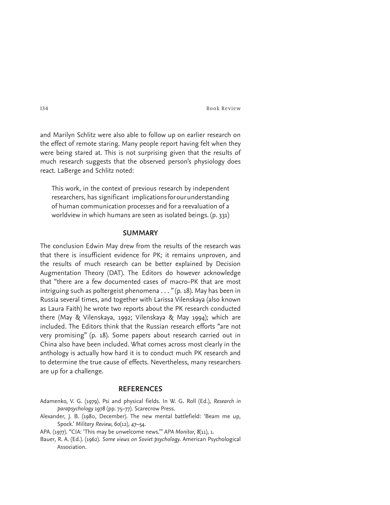and Marilyn Schlitz were also able to follow up on earlier research on the effect of remote staring. Many people report having felt when they were being stared at. This is not surprising given that the results of much research suggests that the observed person's physiology does react. LaBerge and Schlitz noted:

This work, in the context of previous research by independent researchers, has significant implications for our understanding of human communication processes and for a reevaluation of a worldview in which humans are seen as isolated beings. (p. 331)

## **SUMMARY**

The conclusion Edwin May drew from the results of the research was that there is insufficient evidence for PK; it remains unproven, and the results of much research can be better explained by Decision Augmentation Theory (DAT). The Editors do however acknowledge that "there are a few documented cases of macro-PK that are most intriguing such as poltergeist phenomena . . . " (p. 18). May has been in Russia several times, and together with Larissa Vilenskaya (also known as Laura Faith) he wrote two reports about the PK research conducted there (May & Vilenskaya, 1992; Vilenskaya & May 1994); which are included. The Editors think that the Russian research efforts "are not very promising" (p. 18). Some papers about research carried out in China also have been included. What comes across most clearly in the anthology is actually how hard it is to conduct much PK research and to determine the true cause of effects. Nevertheless, many researchers are up for a challenge.

## **REFERENCES**

- Adamenko, V. G. (1979). Psi and physical fields. In W. G. Roll (Ed.), *Research in parapsychology 1978* (pp. 75–77). Scarecrow Press.
- Alexander, J. B. (1980, December). The new mental battlefield: 'Beam me up, Spock.' *Military Review, 60*(12), 47–54.
- APA. (1977). "CIA: 'This may be unwelcome news.'" *APA Monitor, 8*(11), 1.
- Bauer, R. A. (Ed.). (1962). *Some views on Soviet psychology*. American Psychological Association.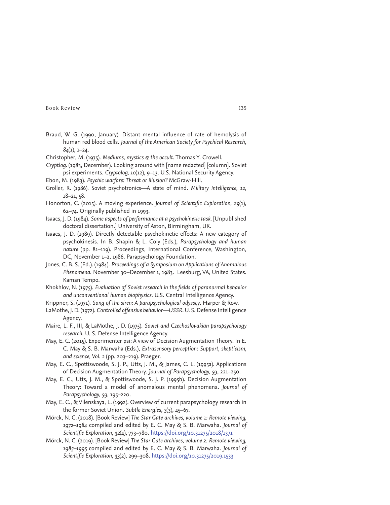- Braud, W. G. (1990, January). Distant mental influence of rate of hemolysis of human red blood cells. *Journal of the American Society for Psychical Research*, *84*(1), 1–24.
- Christopher, M. (1975). *Mediums, mystics & the occult*. Thomas Y. Crowell.
- *Cryptlog*. (1983, December). Looking around with [name redacted] [column]. Soviet psi experiments. *Cryptolog, 10*(12), 9–13. U.S. National Security Agency.
- Ebon, M. (1983). *Psychic warfare: Threat or illusion?* McGraw-Hill.
- Groller, R. (1986). Soviet psychotronics—A state of mind. *Military Intelligence, 12*, 18–21, 58.
- Honorton, C. (2015). A moving experience. *Journal of Scientific Exploration, 29*(1), 62–74. Originally published in 1993.
- Isaacs, J. D. (1984). *Some aspects of performance at a psychokinetic task*. [Unpublished doctoral dissertation.] University of Aston, Birmingham, UK.
- Isaacs, J. D. (1989). Directly detectable psychokinetic effects: A new category of psychokinesis. In B. Shapin & L. Coly (Eds.), *Parapsychology and human nature* (pp. 81–119). Proceedings, International Conference, Washington, DC, November 1–2, 1986. Parapsychology Foundation.
- Jones, C. B. S. (Ed.). (1984). *Proceedings of a Symposium on Applications of Anomalous Phenomena*. November 30–December 1, 1983. Leesburg, VA, United States. Kaman Tempo.
- Khokhlov, N. (1975). *Evaluation of Soviet research in the fields of paranormal behavior and unconventional human biophysics*. U.S. Central Intelligence Agency.
- Krippner, S. (1971). *Song of the siren: A parapsychological odyssey*. Harper & Row.
- LaMothe, J. D. (1972). *Controlled offensive behavior—USSR*. U. S. Defense Intelligence Agency.
- Maire, L. F., III, & LaMothe, J. D. (1975). *Soviet and Czechoslovakian parapsychology research*. U. S. Defense Intelligence Agency.
- May, E. C. (2015). Experimenter psi: A view of Decision Augmentation Theory. In E. C. May & S. B. Marwaha (Eds.), *Extrasensory perception: Support, skepticism, and science, Vol. 2* (pp. 203–219). Praeger.
- May, E. C., Spottiswoode, S. J. P., Utts, J. M., & James, C. L. (1995a). Applications of Decision Augmentation Theory. *Journal of Parapsychology, 59*, 221–250.
- May, E. C., Utts, J. M., & Spottiswoode, S. J. P. (1995b). Decision Augmentation Theory: Toward a model of anomalous mental phenomena. *Journal of Parapsychology, 59*, 195–220.
- May, E. C., & Vilenskaya, L. (1992). Overview of current parapsychology research in the former Soviet Union. *Subtle Energies*, *3*(3), 45–67.
- Mörck, N. C. (2018). [Book Review] *The Star Gate archives, volume 1: Remote viewing, 1972–1984* compiled and edited by E. C. May & S. B. Marwaha. *Journal of Scientific Exploration, 32*(4), 773–780. https://doi.org/10.31275/2018/1371
- Mörck, N. C. (2019). [Book Review] *The Star Gate archives, volume 2: Remote viewing, 1985–1995* compiled and edited by E. C. May & S. B. Marwaha. *Journal of Scientific Exploration, 33*(2), 299–308. https://doi.org/10.31275/2019.1533